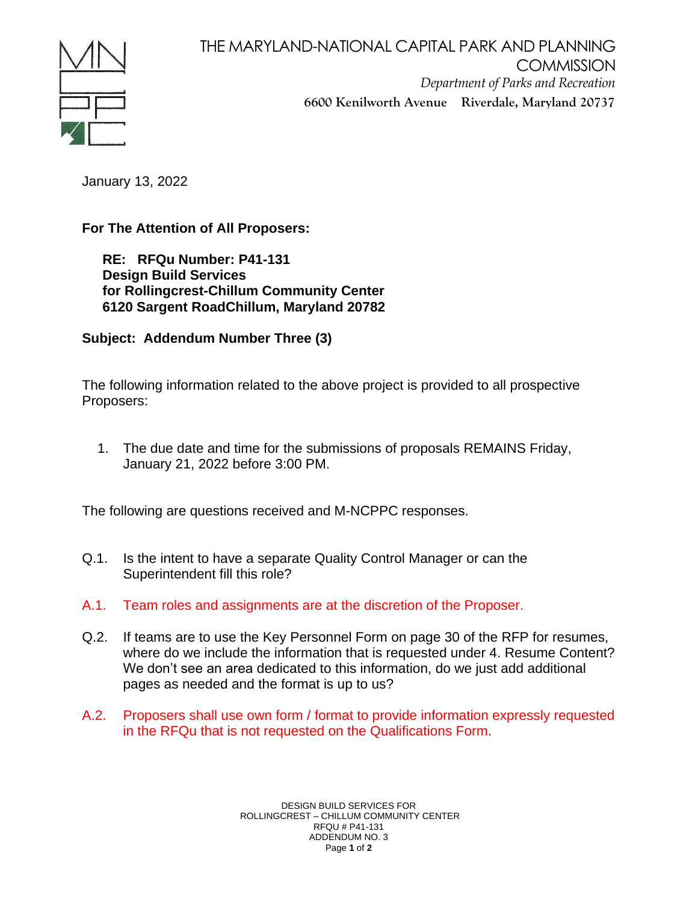

THE MARYLAND-NATIONAL CAPITAL PARK AND PLANNING **COMMISSION** *Department of Parks and Recreation* **6600 Kenilworth Avenue Riverdale, Maryland 20737**

January 13, 2022

**For The Attention of All Proposers:**

**RE: RFQu Number: P41-131 Design Build Services for Rollingcrest-Chillum Community Center 6120 Sargent RoadChillum, Maryland 20782**

**Subject: Addendum Number Three (3)** 

The following information related to the above project is provided to all prospective Proposers:

1. The due date and time for the submissions of proposals REMAINS Friday, January 21, 2022 before 3:00 PM.

The following are questions received and M-NCPPC responses.

- Q.1. Is the intent to have a separate Quality Control Manager or can the Superintendent fill this role?
- A.1. Team roles and assignments are at the discretion of the Proposer.
- Q.2. If teams are to use the Key Personnel Form on page 30 of the RFP for resumes, where do we include the information that is requested under 4. Resume Content? We don't see an area dedicated to this information, do we just add additional pages as needed and the format is up to us?
- A.2. Proposers shall use own form / format to provide information expressly requested in the RFQu that is not requested on the Qualifications Form.

DESIGN BUILD SERVICES FOR ROLLINGCREST – CHILLUM COMMUNITY CENTER RFQU # P41-131 ADDENDUM NO. 3 Page **1** of **2**